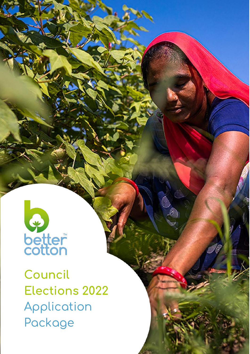

**Council Elections 2022** Application Package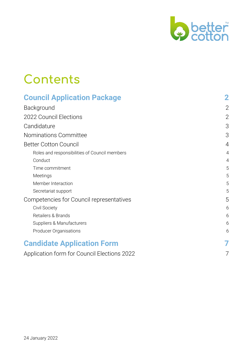

## **Contents**

| <b>Council Application Package</b>            |                |
|-----------------------------------------------|----------------|
| Background                                    | $\overline{2}$ |
| 2022 Council Elections                        | $\overline{2}$ |
| Candidature                                   | 3              |
| Nominations Committee                         | 3              |
| <b>Better Cotton Council</b>                  | $\overline{4}$ |
| Roles and responsibilities of Council members | $\overline{4}$ |
| Conduct                                       | $\overline{4}$ |
| Time commitment                               | 5              |
| Meetings                                      | 5              |
| Member Interaction                            | 5              |
| Secretariat support                           | 5              |
| Competencies for Council representatives      | 5              |
| Civil Society                                 | 6              |
| Retailers & Brands                            | 6              |
| Suppliers & Manufacturers                     | 6              |
| Producer Organisations                        | 6              |
| <b>Candidate Application Form</b>             |                |
| Application form for Council Elections 2022   |                |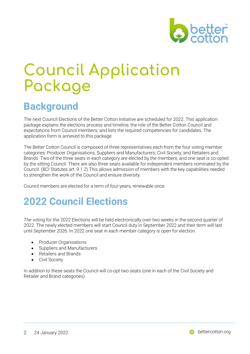

# <span id="page-2-0"></span>**Council Application Package**

### <span id="page-2-1"></span>**Background**

The next Council Elections of the Better Cotton Initiative are scheduled for 2022. This application package explains the elections process and timeline, the role of the Better Cotton Council and expectations from Council members, and lists the required competencies for candidates. The application form is annexed to this package.

The Better Cotton Council is composed of three representatives each from the four voting member categories: Producer Organisations; Suppliers and Manufacturers; Civil Society; and Retailers and Brands. Two of the three seats in each category are elected by the members, and one seat is co-opted by the sitting Council. There are also three seats available for independent members nominated by the Council. (BCI Statutes art. 9.1.2) This allows admission of members with the key capabilities needed to strengthen the work of the Council and ensure diversity.

Council members are elected for a term of four-years, renewable once.

### <span id="page-2-2"></span>**2022 Council Elections**

The voting for the 2022 Elections will be held electronically over two weeks in the second quarter of 2022. The newly elected members will start Council duty in September 2022 and their term will last until September 2026. In 2022 one seat in each member category is open for election.

- Producer Organisations
- Suppliers and Manufacturers
- Retailers and Brands
- Civil Society

In addition to these seats the Council will co-opt two seats (one in each of the Civil Society and Retailer and Brand categories).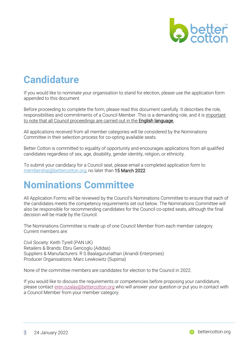

### <span id="page-3-0"></span>**Candidature**

If you would like to nominate your organisation to stand for election, please use the application form appended to this document.

Before proceeding to complete the form, please read this document carefully. It describes the role, responsibilities and commitments of a Council Member. This is a demanding role, and it is important to note that all Council proceedings are carried out in the English language.

All applications received from all member categories will be considered by the Nominations Committee in their selection process for co-opting available seats.

Better Cotton is committed to equality of opportunity and encourages applications from all qualified candidates regardless of sex, age, disability, gender identity, religion, or ethnicity.

To submit your candidacy for a Council seat, please email a completed application form to [membership@bettercotton.org,](mailto:membership@bettercotton.org) no later than 15 March 2022.

### <span id="page-3-1"></span>**Nominations Committee**

All Application Forms will be reviewed by the Council's Nominations Committee to ensure that each of the candidates meets the competency requirements set out below. The Nominations Committee will also be responsible for recommending candidates for the Council co-opted seats, although the final decision will be made by the Council.

The Nominations Committee is made up of one Council Member from each member category. Current members are:

Civil Society: Keith Tyrell (PAN UK) Retailers & Brands: Ebru Gencoglu (Adidas) Suppliers & Manufacturers: R S Baalagurunathan (Anandi Enterprises) Producer Organisations: Marc Lewkowitz (Supima)

None of the committee members are candidates for election to the Council in 2022.

If you would like to discuss the requirements or competencies before proposing your candidature, please contact [eren.ozalay@bettercotton.org](mailto:eren.ozalay@bettercotton.org) who will answer your question or put you in contact with a Council Member from your member category.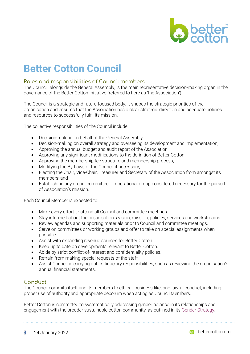

### <span id="page-4-0"></span>**Better Cotton Council**

#### <span id="page-4-1"></span>Roles and responsibilities of Council members

The Council, alongside the General Assembly, is the main representative decision-making organ in the governance of the Better Cotton Initiative (referred to here as 'the Association').

The Council is a strategic and future-focused body. It shapes the strategic priorities of the organisation and ensures that the Association has a clear strategic direction and adequate policies and resources to successfully fulfil its mission.

The collective responsibilities of the Council include:

- Decision-making on behalf of the General Assembly;
- Decision-making on overall strategy and overseeing its development and implementation;
- Approving the annual budget and audit report of the Association;
- Approving any significant modifications to the definition of Better Cotton;
- Approving the membership fee structure and membership process;
- Modifying the By-Laws of the Council if necessary;
- Electing the Chair, Vice-Chair, Treasurer and Secretary of the Association from amongst its members; and
- Establishing any organ, committee or operational group considered necessary for the pursuit of Association's mission.

Each Council Member is expected to:

- Make every effort to attend all Council and committee meetings.
- Stay informed about the organisation's vision, mission, policies, services and workstreams.
- Review agendas and supporting materials prior to Council and committee meetings.
- Serve on committees or working groups and offer to take on special assignments when possible.
- Assist with expanding revenue sources for Better Cotton.
- Keep up to date on developments relevant to Better Cotton.
- Abide by strict conflict-of-interest and confidentiality policies.
- Refrain from making special requests of the staff.
- Assist Council in carrying out its fiduciary responsibilities, such as reviewing the organisation's annual financial statements.

#### <span id="page-4-2"></span>**Conduct**

The Council commits itself and its members to ethical, business-like, and lawful conduct, including proper use of authority and appropriate decorum when acting as Council Members.

Better Cotton is committed to systematically addressing gender balance in its relationships and engagement with the broader sustainable cotton community, as outlined in it[s Gender Strategy.](https://bettercotton.org/bci-gender-strategy/)

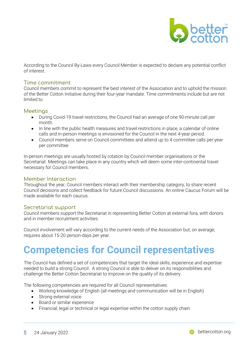

According to the Council By-Laws every Council Member is expected to declare any potential conflict of interest.

#### <span id="page-5-0"></span>Time commitment

Council members commit to represent the best interest of the Association and to uphold the mission of the Better Cotton Initiative during their four-year mandate. Time commitments include but are not limited to

#### <span id="page-5-1"></span>**Meetings**

- During Covid-19 travel restrictions, the Council had an average of one 90-minute call per month.
- In line with the public health measures and travel restrictions in place, a calendar of online calls and in-person meetings is envisioned for the Council in the next 4-year period.
- Council members serve on Council committees and attend up to 4 committee calls per year per committee

In-person meetings are usually hosted by rotation by Council member organisations or the Secretariat. Meetings can take place in any country which will deem some inter-continental travel necessary for Council members.

#### <span id="page-5-2"></span>Member Interaction

Throughout the year, Council members interact with their membership category, to share recent Council decisions and collect feedback for future Council discussions. An online Caucus Forum will be made available for each caucus.

#### <span id="page-5-3"></span>Secretariat support

Council members support the Secretariat in representing Better Cotton at external fora, with donors and in member recruitment activities.

Council involvement will vary according to the current needs of the Association but, on average, requires about 15-20 person-days per year.

### <span id="page-5-4"></span>**Competencies for Council representatives**

The Council has defined a set of competencies that target the ideal skills, experience and expertise needed to build a strong Council. A strong Council is able to deliver on its responsibilities and challenge the Better Cotton Secretariat to improve on the quality of its delivery.

The following competencies are required for all Council representatives:

- Working knowledge of English (all meetings and communication will be in English)
- Strong external voice
- Board or similar experience
- Financial, legal or technical or legal expertise within the cotton supply chain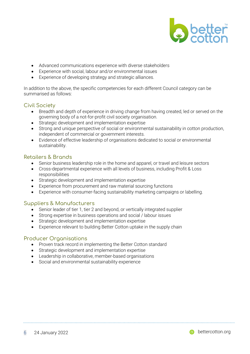

- Advanced communications experience with diverse stakeholders
- Experience with social, labour and/or environmental issues
- Experience of developing strategy and strategic alliances.

In addition to the above, the specific competencies for each different Council category can be summarised as follows:

#### <span id="page-6-0"></span>Civil Society

- Breadth and depth of experience in driving change from having created, led or served on the governing body of a not-for-profit civil society organisation.
- Strategic development and implementation expertise
- Strong and unique perspective of social or environmental sustainability in cotton production, independent of commercial or government interests.
- Evidence of effective leadership of organisations dedicated to social or environmental sustainability.

#### <span id="page-6-1"></span>Retailers & Brands

- Senior business leadership role in the home and apparel, or travel and leisure sectors
- Cross-departmental experience with all levels of business, including Profit & Loss responsibilities
- Strategic development and implementation expertise
- Experience from procurement and raw material sourcing functions
- Experience with consumer-facing sustainability marketing campaigns or labelling.

#### <span id="page-6-2"></span>Suppliers & Manufacturers

- Senior leader of tier 1, tier 2 and beyond, or vertically integrated supplier
- Strong expertise in business operations and social / labour issues
- Strategic development and implementation expertise
- Experience relevant to building Better Cotton uptake in the supply chain

#### <span id="page-6-3"></span>Producer Organisations

- Proven track record in implementing the Better Cotton standard
- Strategic development and implementation expertise
- Leadership in collaborative, member-based organisations
- Social and environmental sustainability experience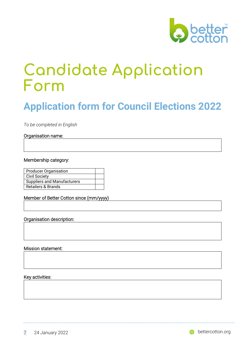

## <span id="page-7-0"></span>**Candidate Application Form**

### <span id="page-7-1"></span>**Application form for Council Elections 2022**

*To be completed in English*

#### Organisation name:

#### Membership category:

| <b>Producer Organisation</b>       |  |
|------------------------------------|--|
| <b>Civil Society</b>               |  |
| <b>Suppliers and Manufacturers</b> |  |
| Retailers & Brands                 |  |

Member of Better Cotton since (mm/yyyy)

#### Organisation description:

#### Mission statement:

#### Key activities: